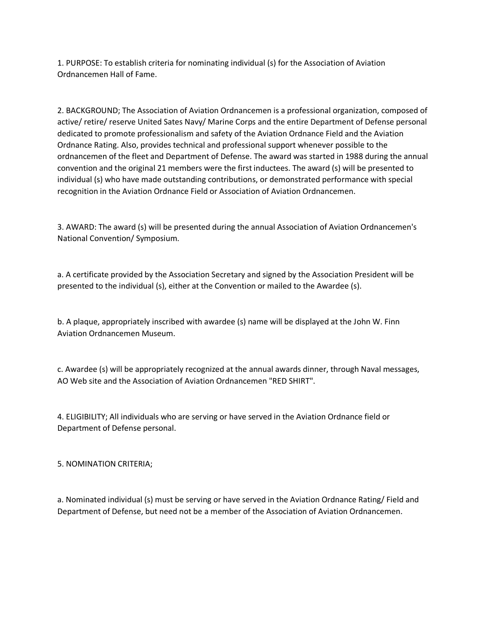1. PURPOSE: To establish criteria for nominating individual (s) for the Association of Aviation Ordnancemen Hall of Fame.

2. BACKGROUND; The Association of Aviation Ordnancemen is a professional organization, composed of active/ retire/ reserve United Sates Navy/ Marine Corps and the entire Department of Defense personal dedicated to promote professionalism and safety of the Aviation Ordnance Field and the Aviation Ordnance Rating. Also, provides technical and professional support whenever possible to the ordnancemen of the fleet and Department of Defense. The award was started in 1988 during the annual convention and the original 21 members were the first inductees. The award (s) will be presented to individual (s) who have made outstanding contributions, or demonstrated performance with special recognition in the Aviation Ordnance Field or Association of Aviation Ordnancemen.

3. AWARD: The award (s) will be presented during the annual Association of Aviation Ordnancemen's National Convention/ Symposium.

a. A certificate provided by the Association Secretary and signed by the Association President will be presented to the individual (s), either at the Convention or mailed to the Awardee (s).

b. A plaque, appropriately inscribed with awardee (s) name will be displayed at the John W. Finn Aviation Ordnancemen Museum.

c. Awardee (s) will be appropriately recognized at the annual awards dinner, through Naval messages, AO Web site and the Association of Aviation Ordnancemen "RED SHIRT".

4. ELIGIBILITY; All individuals who are serving or have served in the Aviation Ordnance field or Department of Defense personal.

5. NOMINATION CRITERIA;

a. Nominated individual (s) must be serving or have served in the Aviation Ordnance Rating/ Field and Department of Defense, but need not be a member of the Association of Aviation Ordnancemen.